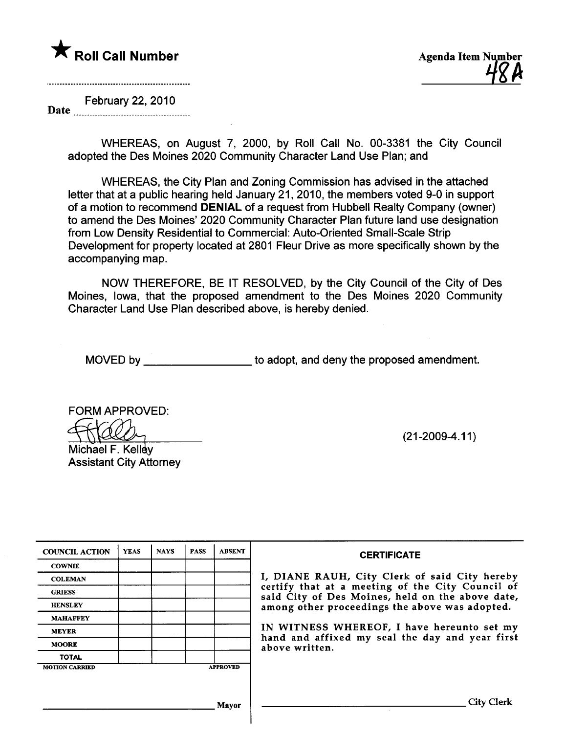

February 22, 2010

Date

WHEREAS, on August 7, 2000, by Roll Call No. 00-3381 the City Council adopted the Des Moines 2020 Community Character Land Use Plan; and

WHEREAS, the City Plan and Zoning Commission has advised in the attached letter that at a public hearing held January 21, 2010, the members voted 9-0 in support of a motion to recommend DENIAL of a request from Hubbell Realty Company (owner) to amend the Des Moines' 2020 Community Character Plan future land use designation from Low Density Residential to Commercial: Auto-Oriented Small-Scale Strip Development for property located at 2801 Fleur Drive as more specifically shown by the accompanying map.

NOW THEREFORE, BE IT RESOLVED, by the City Council of the City of Des Moines, Iowa, that the proposed amendment to the Des Moines 2020 Community Character Land Use Plan described above, is hereby denied.

MOVED by **the adopt, and deny the proposed amendment.** 

FORM APPROVED:

Michael F. Kellev Assistant City Attorney (21-2009-4.11)

| <b>COUNCIL ACTION</b> | <b>YEAS</b> | <b>NAYS</b> | <b>PASS</b> | <b>ABSENT</b>   | <b>CERTIFICATE</b>                                                                                   |
|-----------------------|-------------|-------------|-------------|-----------------|------------------------------------------------------------------------------------------------------|
| <b>COWNIE</b>         |             |             |             |                 |                                                                                                      |
| <b>COLEMAN</b>        |             |             |             |                 | I, DIANE RAUH, City Clerk of said City hereby                                                        |
| <b>GRIESS</b>         |             |             |             |                 | certify that at a meeting of the City Council of<br>said City of Des Moines, held on the above date, |
| <b>HENSLEY</b>        |             |             |             |                 | among other proceedings the above was adopted.                                                       |
| <b>MAHAFFEY</b>       |             |             |             |                 |                                                                                                      |
| <b>MEYER</b>          |             |             |             |                 | IN WITNESS WHEREOF, I have hereunto set my<br>hand and affixed my seal the day and year first        |
| <b>MOORE</b>          |             |             |             |                 | above written.                                                                                       |
| <b>TOTAL</b>          |             |             |             |                 |                                                                                                      |
| <b>MOTION CARRIED</b> |             |             |             | <b>APPROVED</b> |                                                                                                      |
|                       |             |             |             |                 |                                                                                                      |
|                       |             |             |             |                 |                                                                                                      |
|                       |             |             |             | Mavor           | City Clerk                                                                                           |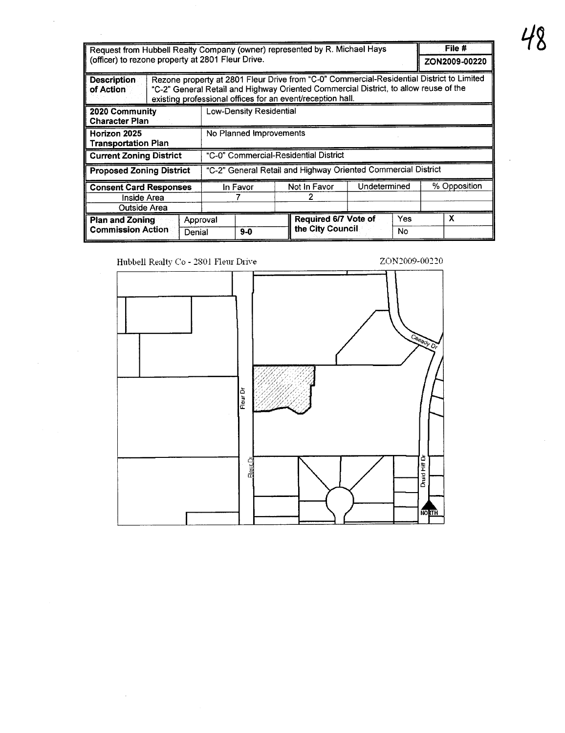| Request from Hubbell Realty Company (owner) represented by R. Michael Hays<br>(officer) to rezone property at 2801 Fleur Drive. |                    |                         |                                                                                                                                                    |              |           | File #<br>ZON2009-00220                                                                   |
|---------------------------------------------------------------------------------------------------------------------------------|--------------------|-------------------------|----------------------------------------------------------------------------------------------------------------------------------------------------|--------------|-----------|-------------------------------------------------------------------------------------------|
| <b>Description</b><br>of Action                                                                                                 |                    |                         | "C-2" General Retail and Highway Oriented Commercial District, to allow reuse of the<br>existing professional offices for an event/reception hall. |              |           | Rezone property at 2801 Fleur Drive from "C-0" Commercial-Residential District to Limited |
| 2020 Community<br><b>Character Plan</b>                                                                                         |                    | Low-Density Residential |                                                                                                                                                    |              |           |                                                                                           |
| Horizon 2025<br><b>Transportation Plan</b>                                                                                      |                    | No Planned Improvements |                                                                                                                                                    |              |           |                                                                                           |
| <b>Current Zoning District</b>                                                                                                  |                    |                         | "C-0" Commercial-Residential District                                                                                                              |              |           |                                                                                           |
| <b>Proposed Zoning District</b>                                                                                                 |                    |                         | "C-2" General Retail and Highway Oriented Commercial District                                                                                      |              |           |                                                                                           |
| <b>Consent Card Responses</b><br>Inside Area<br>Outside Area                                                                    |                    | In Favor                | Not in Favor                                                                                                                                       | Undetermined |           | % Opposition                                                                              |
| <b>Plan and Zoning</b><br><b>Commission Action</b>                                                                              | Approval<br>Denial | $9-0$                   | Required 6/7 Vote of<br>the City Council                                                                                                           |              | Yes<br>No | x                                                                                         |

ZON2009-00220

Hubbell Realty Co - 2801 Fleur Drive

 $\sim$ 

 $\hat{\boldsymbol{\gamma}}$ 

 $\frac{1}{2} \left( \frac{1}{2} \right)$  ,  $\frac{1}{2} \left( \frac{1}{2} \right)$ 

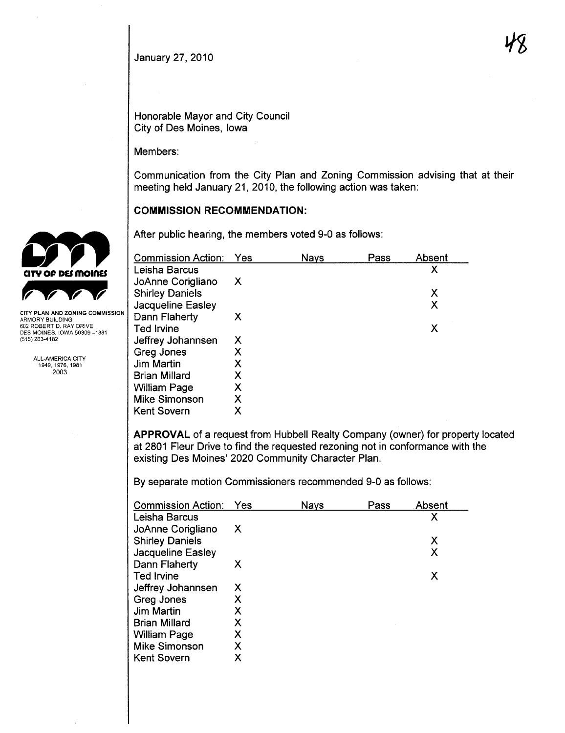#### January 27,2010

Honorable Mayor and City Council City of Des Moines, Iowa

Members:

Communication from the City Plan and Zoning Commission advising that at their meeting held January 21,2010, the following action was taken:

#### COMMISSION RECOMMENDATION:

After public hearing, the members voted 9-0 as follows:

| <b>Commission Action:</b> | Yes | Nays | Pass | Absent |
|---------------------------|-----|------|------|--------|
| Leisha Barcus             |     |      |      | χ      |
| JoAnne Corigliano         | X   |      |      |        |
| <b>Shirley Daniels</b>    |     |      |      | Х      |
| Jacqueline Easley         |     |      |      | Χ      |
| Dann Flaherty             | х   |      |      |        |
| Ted Irvine                |     |      |      | х      |
| Jeffrey Johannsen         | Х   |      |      |        |
| Greg Jones                | Х   |      |      |        |
| Jim Martin                | Χ   |      |      |        |
| <b>Brian Millard</b>      | Х   |      |      |        |
| <b>William Page</b>       | Χ   |      |      |        |
| <b>Mike Simonson</b>      | Χ   |      |      |        |
| <b>Kent Sovern</b>        | χ   |      |      |        |

APPROVAL of a request from Hubbell Realty Company (owner) for property located at 2801 Fleur Drive to find the requested rezoning not in conformance with the existing Des Moines' 2020 Community Character Plan.

By separate motion Commissioners recommended 9-0 as follows:

| <b>Commission Action:</b> | Yes | <b>Nays</b> | Pass | . Absent |
|---------------------------|-----|-------------|------|----------|
| Leisha Barcus             |     |             |      | Χ        |
| JoAnne Corigliano         | X   |             |      |          |
| <b>Shirley Daniels</b>    |     |             |      | Χ        |
| Jacqueline Easley         |     |             |      | Χ        |
| Dann Flaherty             | Х   |             |      |          |
| <b>Ted Irvine</b>         |     |             |      | Х        |
| Jeffrey Johannsen         | X   |             |      |          |
| Greg Jones                | х   |             |      |          |
| <b>Jim Martin</b>         | Χ   |             |      |          |
| <b>Brian Millard</b>      | Х   |             |      |          |
| <b>William Page</b>       | х   |             |      |          |
| <b>Mike Simonson</b>      | Х   |             |      |          |
| <b>Kent Sovern</b>        | Х   |             |      |          |



ARMORY BUILDING 602 ROBERT D. RAY DRIVE DES MOINES, IOWA 50309-1881 (515) 283-4182

> ALL-AMERICA CITY 1949,1976,1981 2003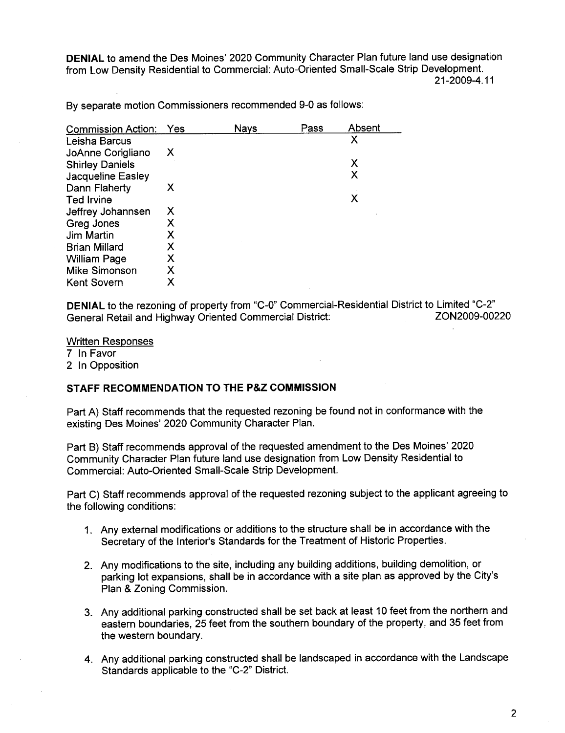DENIAL to amend the Des Moines' 2020 Community Character Plan future land use designation from Low Density Residential to Commercial: Auto-Oriented Small-Scale Strip Development. 21-2009-4.11

By separate motion Commissioners recommended 9-0 as follows:

| <b>Commission Action:</b> | Yes | <b>Nays</b> | Pass | Absent |
|---------------------------|-----|-------------|------|--------|
| Leisha Barcus             |     |             |      | X      |
| JoAnne Corigliano         | X   |             |      |        |
| <b>Shirley Daniels</b>    |     |             |      | Х      |
| Jacqueline Easley         |     |             |      | Χ      |
| Dann Flaherty             | х   |             |      |        |
| Ted Irvine                |     |             |      | Х      |
| Jeffrey Johannsen         | Х   |             |      |        |
| Greg Jones                | Х   |             |      |        |
| Jim Martin                | Х   |             |      |        |
| <b>Brian Millard</b>      | Х   |             |      |        |
| <b>William Page</b>       | Х   |             |      |        |
| <b>Mike Simonson</b>      | Χ   |             |      |        |
| <b>Kent Sovern</b>        | х   |             |      |        |

DENIAL to the rezoning of property from "C-O" Commercial-Residential District to Limited "C-2" General Retail and Highway Oriented Commercial District:

Written Responses

7 In Favor

2 In Opposition

# STAFF RECOMMENDATION TO THE P&Z COMMISSION

Part A) Staff recommends that the requested rezoning be found not in conformance with the existing Des Moines' 2020 Community Character Plan.

Part B) Staff recommends approval of the requested amendment to the Des Moines' 2020 Community Character Plan future land use designation from Low Density Residential to Commercial: Auto-Oriented Small-Scale Strip Development.

Part C) Staff recommends approval of the requested rezoning subject to the applicant agreeing to the following conditions:

- 1. Any external modifications or additions to the structure shall be in accordance with the Secretary of the Interior's Standards for the Treatment of Historic Properties.
- 2. Any modifications to the site, including any building additions, building demolition, or parking lot expansions, shall be in accordance with a site plan as approved by the City's Plan & Zoning Commission.
- 3. Any additional parking constructed shall be set back at least 10 feet from the northern and eastern boundaries, 25 feet from the southern boundary of the property, and 35 feet from the western boundary.
- 4. Any additional parking constructed shall be landscaped in accordance with the Landscape Standards applicable to the "C-2" District.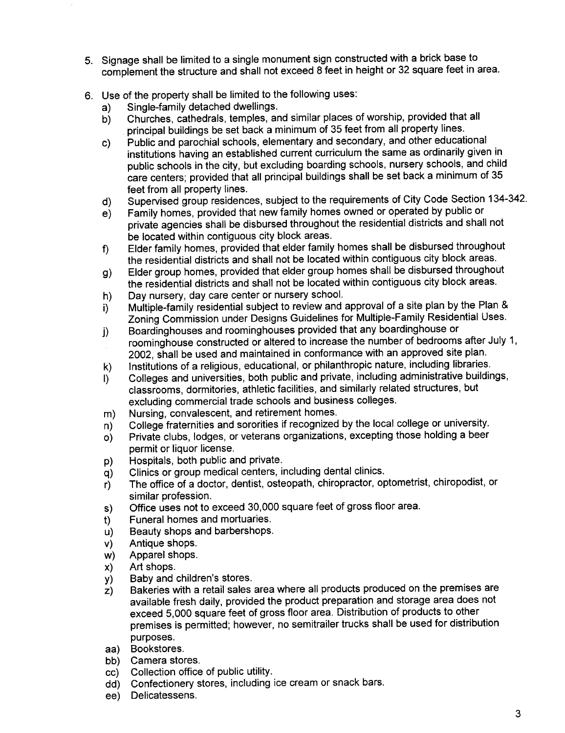- 5. Signage shall be limited to a single monument sign constructed with a brick base to complement the structure and shall not exceed 8 feet in height or 32 square feet in area.
- 6. Use of the property shall be limited to the following uses:
	- a) Single-family detached dwellings.
	- b) Churches, cathedrals, temples, and similar places of worship, provided that all principal buildings be set back a minimum of 35 feet from all property lines.
	- c) Public and parochial schools, elementary and secondary, and other educational institutions having an established current curriculum the same as ordinarily given in public schools in the city, but excluding boarding schools, nursery schools, and child care centers; provided that all principal buildings shall be set back a minimum of 35 feet from all property lines.
	- d) Supervised group residences, subject to the requirements of City Code Section 134-342.
	- e) Family homes, provided that new family homes owned or operated by public or private agencies shall be disbursed throughout the residential districts and shall not
	- be located within contiguous city block areas.<br>Elder family homes, provided that elder family homes shall be disbursed throughout f) Elder family homes, provided that elder family homes shall be disbursed throughout the residential districts and shall not be located within contiguous city block areas.
	- g) Elder group homes, provided that elder group homes shall be disbursed throughout the residential districts and shall not be located within contiguous city block areas.
	- h) Day nursery, day care center or nursery schooL.
	- i) Multiple-family residential subject to review and approval of a site plan by the Plan & Zoning Commission under Designs Guidelines for Multiple-Family Residential Uses.
	- j) Boardinghouses and roominghouses provided that any boardinghouse or roominghouse constructed or altered to increase the number of bedrooms after July 1, 2002, shall be used and maintained in conformance with an approved site plan,
	- k) Institutions of a religious, educational, or philanthropic nature, including libraries.
	- I) Colleges and universities, both public and private, including administrative buildings, classrooms, dormitories, athletic facilities, and similarly related structures, but excluding commercial trade schools and business colleges.
	- m) Nursing, convalescent, and retirement homes,
	- n) College fraternities and sororities if recognized by the local college or university.
	- 0) Private clubs, lodges, or veterans organizations, excepting those holding a beer permit or liquor license,
	-
	- p) Hospitals, both public and private.
	- q) Clinics or group medical centers, including dental clinics.<br>r) The office of a doctor, dentist, osteopath, chiropractor, op The office of a doctor, dentist, osteopath, chiropractor, optometrist, chiropodist, or similar profession.
	- s) Office uses not to exceed 30,000 square feet of gross floor area.
	- t) Funeral homes and mortuaries.
	- u) Beauty shops and barbershops.
	- v) Antique shops.
	- w) Apparel shops.
	- x) Art shops.
	-
	- y) Baby and children's stores.<br>z) Bakeries with a retail sales Bakeries with a retail sales area where all products produced on the premises are available fresh daily, provided the product preparation and storage area does not exceed 5,000 square feet of gross floor area. Distribution of products to other premises is permitted; however, no semitrailer trucks shall be used for distribution purposes.
	- aa) Bookstores.
	-
	- bb) Camera stores.<br>cc) Collection office Collection office of public utility.
	- dd) Confectionery stores, including ice cream or snack bars.
	- ee) Delicatessens,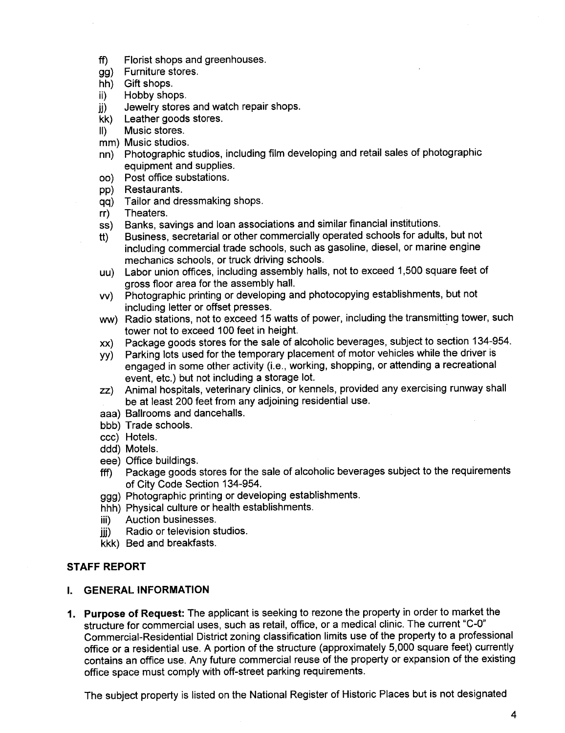- ff) Florist shops and greenhouses.
- gg) Furniture stores,
- hh) Gift shops.
- ii) Hobby shops,
- jj) Jewelry stores and watch repair shops.
- kk) Leather goods stores.
- II) Music stores.
- mm) Music studios.
- nn) Photographic studios, including film developing and retail sales of photographic equipment and supplies.
- oo) Post office substations.
- pp) Restaurants.
- qq) Tailor and dressmaking shops.<br>rr) Theaters.
- Theaters.
- ss) Banks, savings and loan associations and similar financial institutions.
- tt) Business, secretarial or other commercially operated schools for adults, but not including commercial trade schools, such as gasoline, diesel, or marine engine mechanics schools, or truck driving schools.
- uu) Labor union offces, including assembly halls, not to exceed 1,500 square feet of gross floor area for the assembly halL.
- vv) Photographic printing or developing and photocopying establishments, but not including letter or offset presses.
- ww) Radio stations, not to exceed 15 watts of power, including the transmitting tower, such tower not to exceed 100 feet in height.
- xx) Package goods stores for the sale of alcoholic beverages, subject to section 134-954.
- yy) Parking lots used for the temporary placement of motor vehicles while the driver is engaged in some other activity (i.e., working, shopping, or attending a recreational event, etc.) but not including a storage lot.
- zz) Animal hospitals, veterinary clinics, or kennels, provided any exercising runway shall be at least 200 feet from any adjoining residential use,
- aaa) Ballrooms and dancehalls,
- bbb) Trade schools.
- ccc) Hotels.
- ddd) Motels.
- eee) Office buildings.
- fff) Package goods stores for the sale of alcoholic beverages subject to the requirements of City Code Section 134-954.
- ggg) Photographic printing or developing establishments.
- hhh) Physical culture or health establishments.
- iii) Auction businesses.
- jij) Radio or television studios.
- kkk) Bed and breakfasts.

# STAFF REPORT

#### i. GENERAL INFORMATION

1. Purpose of Request: The applicant is seeking to rezone the property in order to market the structure for commercial uses, such as retail, office, or a medical clinic. The current "C-0" Commercial-Residential District zoning classification limits use of the property to a professional office or a residential use. A portion of the structure (approximately 5,000 square feet) currently contains an office use. Any future commercial reuse of the property or expansion of the existing office space must comply with off-street parking requirements.

The subject property is listed on the National Register of Historic Places but is not designated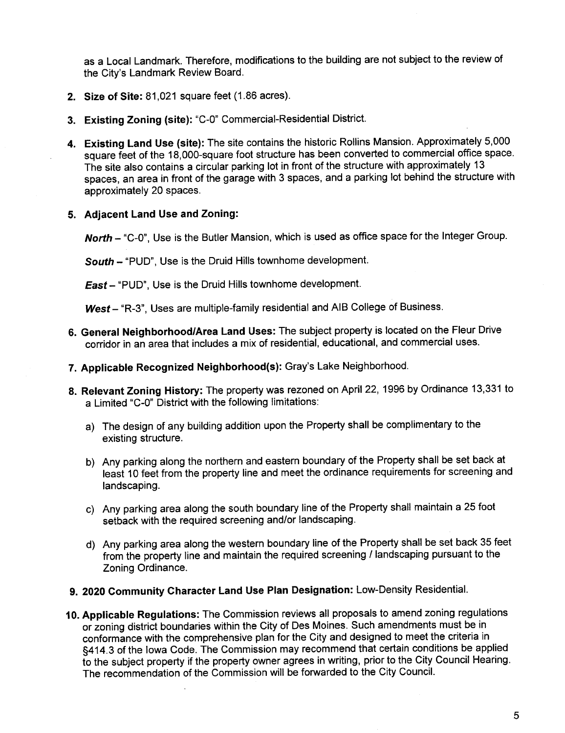as a Local Landmark. Therefore, modifications to the building are not subject to the review of the City's Landmark Review Board.

- 2. Size of Site: 81,021 square feet (1.86 acres).
- 3. Existing Zoning (site): "C-O" Commercial-Residential District.
- 4. Existing Land Use (site): The site contains the historic Rollins Mansion. Approximately 5,000 square feet of the 18,000-square foot structure has been converted to commercial office space. The site also contains a circular parking lot in front of the structure with approximately 13 spaces, an area in front of the garage with 3 spaces, and a parking lot behind the structure with approximately 20 spaces.
- 5. Adjacent Land Use and Zoning:

North - "C-0", Use is the Butler Mansion, which is used as office space for the Integer Group.

South - "PUD", Use is the Druid Hills townhome development.

East - "PUD", Use is the Druid Hills townhome development.

West - "R-3", Uses are multiple-family residential and AIB College of Business.

- 6. General Neighborhood/Area Land Uses: The subject property is located on the Fleur Drive corridor in an area that includes a mix of residential, educational, and commercial uses.
- 7. Applicable Recognized Neighborhood(s): Gray's Lake Neighborhood,
- 8. Relevant Zoning History: The property was rezoned on April 22, 1996 by Ordinance 13,331 to a Limited "C-O" District with the following limitations:
	- a) The design of any building addition upon the Property shall be complimentary to the existing structure,
	- b) Any parking along the northern and eastern boundary of the Property shall be set back at least 10 feet from the property line and meet the ordinance requirements for screening and landscaping.
	- c) Any parking area along the south boundary line of the Property shall maintain a 25 foot setback with the required screening and/or landscaping,
	- d) Any parking area along the western boundary line of the Property shall be set back 35 feet from the property line and maintain the required screening /Iandscaping pursuant to the Zoning Ordinance.
- 9. 2020 Community Character Land Use Plan Designation: Low-Density ResidentiaL.
- 10. Applicable Regulations: The Commission reviews all proposals to amend zoning regulations or zoning district boundaries within the City of Des Moines. Such amendments must be in conformance with the comprehensive plan for the City and designed to meet the criteria in §414.3 of the Iowa Code. The Commission may recommend that certain conditions be applied to the subject property if the property owner agrees in writing, prior to the City Council Hearing, The recommendation of the Commission will be forwarded to the City Council.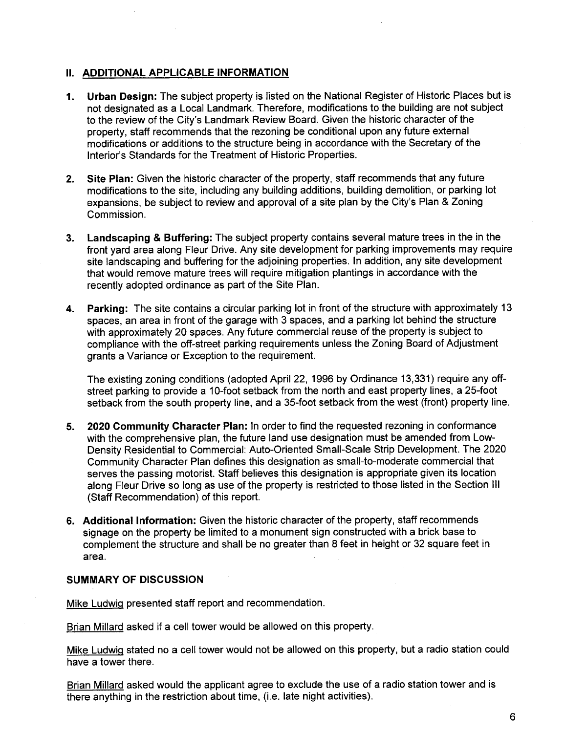## II. ADDITIONAL APPLICABLE INFORMATION

- 1. Urban Design: The subject property is listed on the National Register of Historic Places but is not designated as a Local Landmark, Therefore, modifications to the building are not subject to the review of the City's Landmark Review Board. Given the historic character of the property, staff recommends that the rezoning be conditional upon any future external modifications or additions to the structure being in accordance with the Secretary of the Interior's Standards for the Treatment of Historic Properties.
- 2. Site Plan: Given the historic character of the property, staff recommends that any future modifications to the site, including any building additions, building demolition, or parking lot expansions, be subject to review and approval of a site plan by the City's Plan & Zoning Commission.
- 3. Landscaping & Buffering: The subject property contains several mature trees in the in the front yard area along Fleur Drive. Any site development for parking improvements may require site landscaping and buffering for the adjoining properties, In addition, any site development that would remove mature trees will require mitigation plantings in accordance with the recently adopted ordinance as part of the Site Plan.
- 4. Parking: The site contains a circular parking lot in front of the structure with approximately 13 spaces, an area in front of the garage with 3 spaces, and a parking lot behind the structure with approximately 20 spaces. Any future commercial reuse of the property is subject to compliance with the off-street parking requirements unless the Zoning Board of Adjustment grants a Variance or Exception to the requirement.

The existing zoning conditions (adopted April 22, 1996 by Ordinance 13,331) require any offstreet parking to provide a 10-foot setback from the north and east property lines, a 25-foot setback from the south property line, and a 35-foot setback from the west (front) property line.

- 5. 2020 Community Character Plan: In order to find the requested rezoning in conformance with the comprehensive plan, the future land use designation must be amended from Low-Density Residential to Commercial: Auto-Oriented Small-Scale Strip Development. The 2020 Community Character Plan defines this designation as small-to-moderate commercial that serves the passing motorist. Staff believes this designation is appropriate given its location along Fleur Drive so long as use of the property is restricted to those listed in the Section III (Staff Recommendation) of this report.
- 6. Additional Information: Given the historic character of the property, staff recommends signage on the property be limited to a monument sign constructed with a brick base to complement the structure and shall be no greater than 8 feet in height or 32 square feet in area.

#### SUMMARY OF DISCUSSION

Mike Ludwig presented staff report and recommendation.

Brian Millard asked if a cell tower would be allowed on this property.

Mike Ludwig stated no a cell tower would not be allowed on this property, but a radio station could have a tower there.

Brian Millard asked would the applicant agree to exclude the use of a radio station tower and is there anything in the restriction about time, (i.e. late night activities).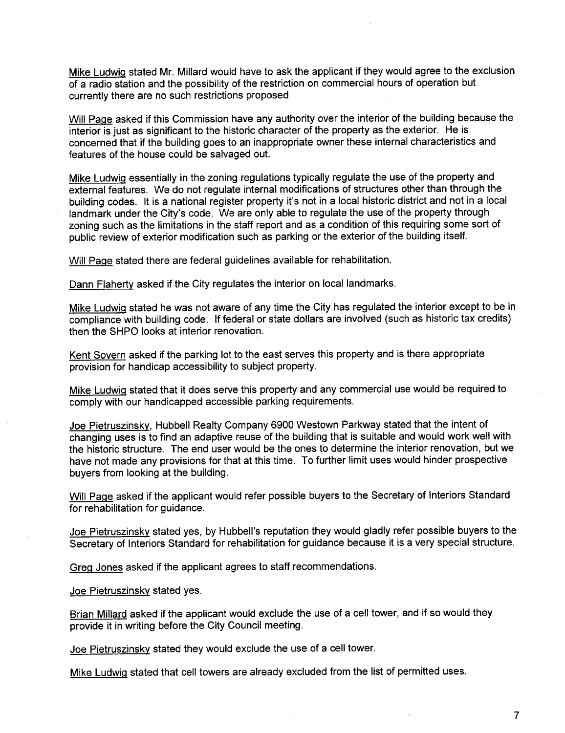Mike Ludwig stated Mr. Millard would have to ask the applicant if they would agree to the exclusion of a radio station and the possibility of the restriction on commercial hours of operation but currently there are no such restrictions proposed.

Will Page asked if this Commission have any authority over the interior of the building because the interior is just as significant to the historic character of the property as the exterior. He is concerned that if the building goes to an inappropriate owner these internal characteristics and features of the house could be salvaged out.

Mike LudwiQ essentially in the zoning regulations typically regulate the use of the property and external features. We do not regulate internal modifications of structures other than through the building codes. It is a national register property it's not in a local historic district and not in a local landmark under the City's code. We are only able to regulate the use of the property through zoning such as the limitations in the staff report and as a condition of this requiring some sort of public review of exterior modification such as parking or the exterior of the building itself.

Will Page stated there are federal guidelines available for rehabilitation.

Dann Flaherty asked if the City regulates the interior on local landmarks.

Mike Ludwig stated he was not aware of any time the City has regulated the interior except to be in compliance with building code, If federal or state dollars are involved (such as historic tax credits) then the SHPO looks at interior renovation.

Kent Sovern asked if the parking lot to the east serves this property and is there appropriate provision for handicap accessibility to subject property.

Mike LudwiQ stated that it does serve this property and any commercial use would be required to comply with our handicapped accessible parking requirements.

Joe Pietruszinsky, Hubbell Realty Company 6900 Westown Parkway stated that the intent of changing uses is to find an adaptive reuse of the building that is suitable and would work well with the historic structure. The end user would be the ones to determine the interior renovation, but we have not made any provisions for that at this time. To further limit uses would hinder prospective buyers from looking at the building.

Will Page asked if the applicant would refer possible buyers to the Secretary of Interiors Standard for rehabilitation for guidance.

Joe Pietruszinsky stated yes, by Hubbell's reputation they would gladly refer possible buyers to the Secretary of Interiors Standard for rehabilitation for guidance because it is a very special structure.

Greg Jones asked if the applicant agrees to staff recommendations.

Joe Pietruszinsky stated yes,

Brian Milard asked if the applicant would exclude the use of a cell tower, and if so would they provide it in writing before the City Council meeting.

Joe Pietruszinsky stated they would exclude the use of a cell tower.

Mike Ludwig stated that cell towers are already excluded from the list of permitted uses.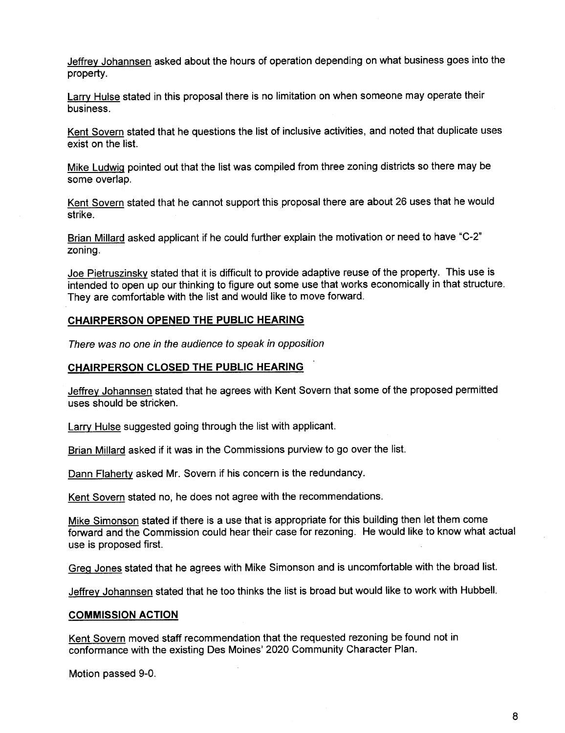Jeffrey Johannsen asked about the hours of operation depending on what business goes into the property.

Larry Hulse stated in this proposal there is no limitation on when someone may operate their business.

Kent Sovern stated that he questions the list of inclusive activities, and noted that duplicate uses exist on the list.

Mike Ludwig pointed out that the list was compiled from three zoning districts so there may be some overlap,

Kent Sovern stated that he cannot support this proposal there are about 26 uses that he would strike.

Brian Millard asked applicant if he could further explain the motivation or need to have "C-2" zoning.

Joe Pietruszinsky stated that it is difficult to provide adaptive reuse of the property. This use is intended to open up our thinking to figure out some use that works economically in that structure. They are comfortable with the list and would like to move forward.

## CHAIRPERSON OPENED THE PUBLIC HEARING

There was no one in the audience to speak in opposition

## CHAIRPERSON CLOSED THE PUBLIC HEARING

Jeffrey Johannsen stated that he agrees with Kent Sovern that some of the proposed permitted uses should be stricken.

Larry Hulse suggested going through the list with applicant.

Brian Milard asked if it was in the Commissions purview to go over the list.

Dann Flaherty asked Mr. Sovern if his concern is the redundancy.

Kent Sovern stated no, he does not agree with the recommendations.

Mike Simonson stated if there is a use that is appropriate for this building then let them come forward and the Commission could hear their case for rezoning. He would like to know what actual use is proposed first.

GreQ Jones stated that he agrees with Mike Simonson and is uncomfortable with the broad list.

Jeffrey Johannsen stated that he too thinks the list is broad but would like to work with Hubbell.

#### COMMISSION ACTION

Kent Sovern moved staff recommendation that the requested rezoning be found not in conformance with the existing Des Moines' 2020 Community Character Plan.

Motion passed 9-0.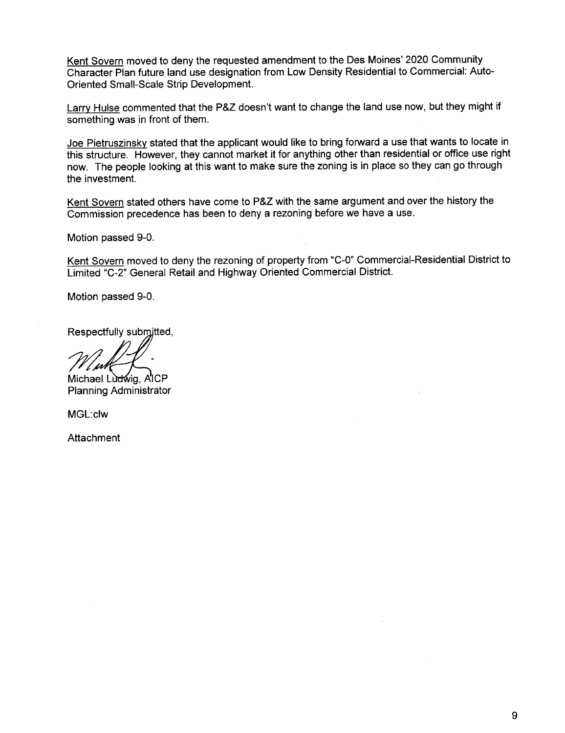Kent Sovern moved to deny the requested amendment to the Des Moines' 2020 Community Character Plan future land use designation from Low Density Residential to Commercial: Auto-Oriented Small-Scale Strip Development.

Larry Hulse commented that the P&Z doesn't want to change the land use now, but they might if something was in front of them.

Joe Pietruszinsky stated that the applicant would like to bring forward a use that wants to locate in this structure. However, they cannot market it for anything other than residential or office use right now. The people looking at this want to make sure the zoning is in place so they can go through the investment.

Kent Sovern stated others have come to P&Z with the same argument and over the history the Commission precedence has been to deny a rezoning before we have a use.

Motion passed 9-0.

Kent Sovern moved to deny the rezoning of property from "C-0" Commercial-Residential District to Limited "C-2" General Retail and Highway Oriented Commercial District.

Motion passed 9-0.

Respectfully submitted,

Michael Ludwig, AICP Planning Administrator

MGL:clw

**Attachment**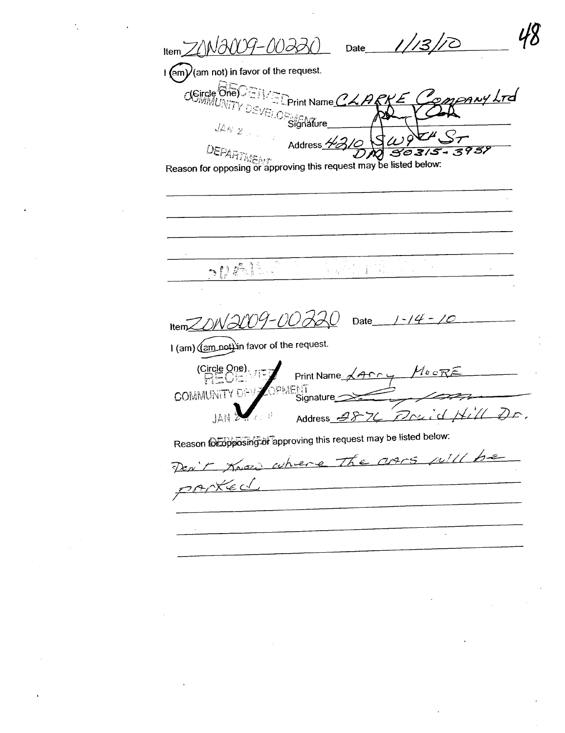Date  $1/13$ 'ANI-00220  $ItemZ/M$  $\frac{1}{2}$  (am not) in favor of the request.  $C(Size, One)$ pany LTd **ED**rint Name CLARK VEI.OR AEMTure Address 2 DEPARTMENT 3957 30315 Reason for opposing or approving this request may be listed below:  $50$   $\overline{P1^2}$ ANG PARTI in while 12009-00720 Date  $1 - 14 - 10$  $HemZ/N$ I (am) (am not) in favor of the request. **Circle One)** Print Name <u>AACCUL</u>  $M$ e c $RE$ OPMENT **COMMUNITY DEVI** Signature 76 Praid Hill Dr. JAN<sup>2</sup> Address  $\mathscr{B}$ Reason for opposing of approving this request may be listed below: Por't Know where The agrs will be rantecl  $\ddot{\phantom{a}}$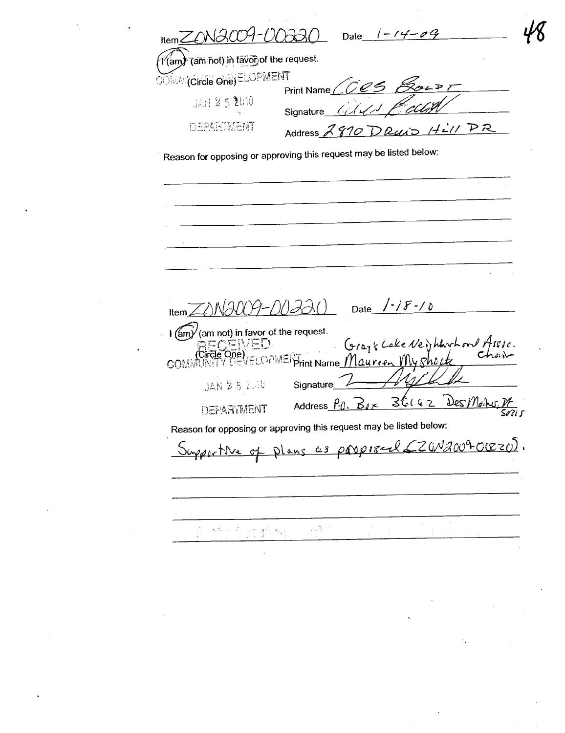$HermZONACO9-OO330$ Date  $1 - 14 - 09$  $\gamma'$ (am) (am not) in favor of the request. **OOMM(Circle One)ELOPMENT** Print Name / **JAN 25 2010** Signature DEPARTMENT DRUID Hill PR Address A Reason for opposing or approving this request may be listed below: Date  $/$  - /  $\mathcal{F}$  - / 0  $\lambda$ Item  $\angle$ I (am) (am not) in favor of the request. COMMUNITY DEVELOP Grazz Cake Neighborn and Assic.<br>May 100: Juste Charles  $\lor$ ELOPMEI $\mathcal{F}_{\mathsf{init}}$ Name $\mathcal{M}$ Qureen  $\mathcal{M} \lor$ Shocto **JAN 25 2018** Signature Address  $\rho_0$ ,  $\beta_4$ 36162 Des Mong <u>ง/</u><br>รัศริเ ร DEPARTMENT Reason for opposing or approving this request may be listed below: <u>Plans as propised (ZGN2009-OCEZO)</u>. Supportive of 经可归的 ig Pa Ã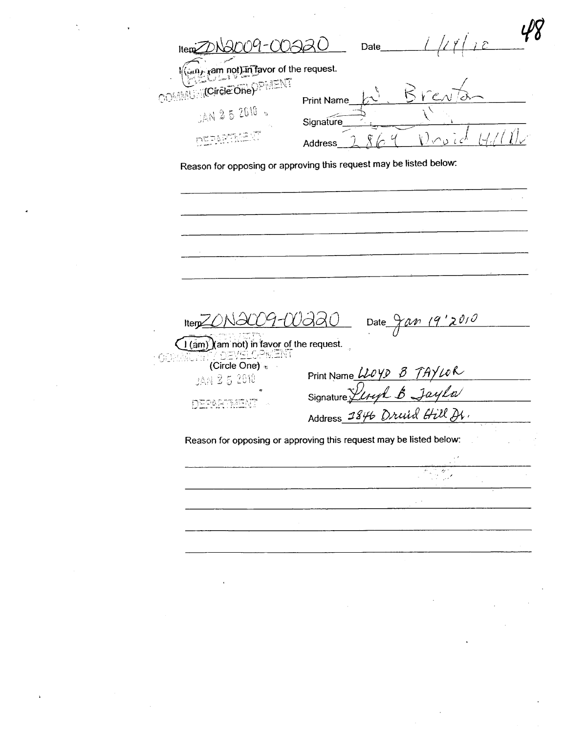| ain red in favor of the request.                                   |            |                                                                                                  |  |
|--------------------------------------------------------------------|------------|--------------------------------------------------------------------------------------------------|--|
| COMMUNICITEIE ONeOPMENT                                            | Print Name | $\kappa$                                                                                         |  |
| JAN 25 2010                                                        | Signature  |                                                                                                  |  |
|                                                                    | Address    | $\bigcup_{\alpha\in\mathcal{C}}\bigcap_{\alpha\in\mathcal{C}}$<br>$\sqrt{2}$                     |  |
| Reason for opposing or approving this request may be listed below: |            |                                                                                                  |  |
|                                                                    |            |                                                                                                  |  |
|                                                                    |            |                                                                                                  |  |
|                                                                    |            |                                                                                                  |  |
|                                                                    |            |                                                                                                  |  |
|                                                                    |            |                                                                                                  |  |
|                                                                    |            |                                                                                                  |  |
|                                                                    |            |                                                                                                  |  |
|                                                                    |            |                                                                                                  |  |
| Iterp                                                              |            | 19'2010<br>Date $\frac{1}{\sqrt{N}}$                                                             |  |
| 60                                                                 |            |                                                                                                  |  |
| (Circle One) $\epsilon$                                            |            |                                                                                                  |  |
| JAN 2 5 2010                                                       |            |                                                                                                  |  |
|                                                                    |            | Print Name <i>WOYD B TAYWR</i><br>Signature <i>Listyl B Jayla</i><br>Address 1846 Druid Hill Dr. |  |
| Reason for opposing or approving this request may be listed below: |            |                                                                                                  |  |
|                                                                    |            |                                                                                                  |  |
|                                                                    |            | Ser 1<br>z.                                                                                      |  |
|                                                                    |            |                                                                                                  |  |
|                                                                    |            |                                                                                                  |  |
|                                                                    |            |                                                                                                  |  |

 $\label{eq:2} \frac{1}{\sqrt{2}}\sum_{i=1}^n\frac{1}{\sqrt{2}}\sum_{j=1}^n\frac{1}{j!}\sum_{j=1}^n\frac{1}{j!}\sum_{j=1}^n\frac{1}{j!}\sum_{j=1}^n\frac{1}{j!}\sum_{j=1}^n\frac{1}{j!}\sum_{j=1}^n\frac{1}{j!}\sum_{j=1}^n\frac{1}{j!}\sum_{j=1}^n\frac{1}{j!}\sum_{j=1}^n\frac{1}{j!}\sum_{j=1}^n\frac{1}{j!}\sum_{j=1}^n\frac{1}{j!}\sum_{j=1}^$ 

 $\mathcal{F}_{\mathcal{G}}$  .

 $\mathbf{z}^{(n)}$  .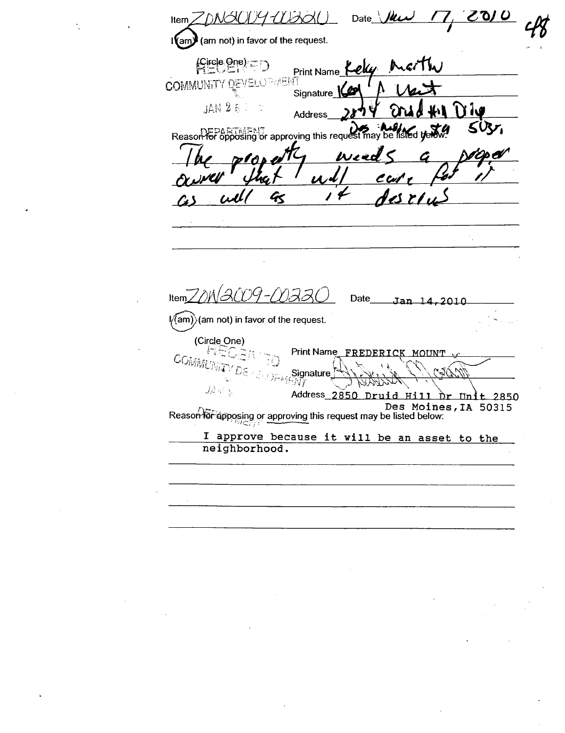<u>7010</u> Date  $\sqrt{ }$ Iki NSK 1 *11) AQ*I Item (am not) in favor of the request.  $\mathsf{I}(\mathsf{am})$  $f = \frac{1}{2}$ Print Name 1 **COMMUNITY DEVELOPMENT** Signature K **JAN 25 Address** Reason for opposing or approving this request may be listed by Wzel U  $\mathbf{z}$ laco9-coaaC Item $Z/M$ Date Jan 14,2010  $\sqrt{2}$  (am not) in favor of the request. (Circle One) Print Name FREDERICK MOUNT COMMUN W.ý J٨ Signature  $M\tilde{I}$  $J\mathcal{L}$  N Address 2850 Druid Ħi **Un**  $t$  2850 Des Moines, IA 50315 Reason for apposing or approving this request may be listed below: I approve because it will be an asset to the neighborhood.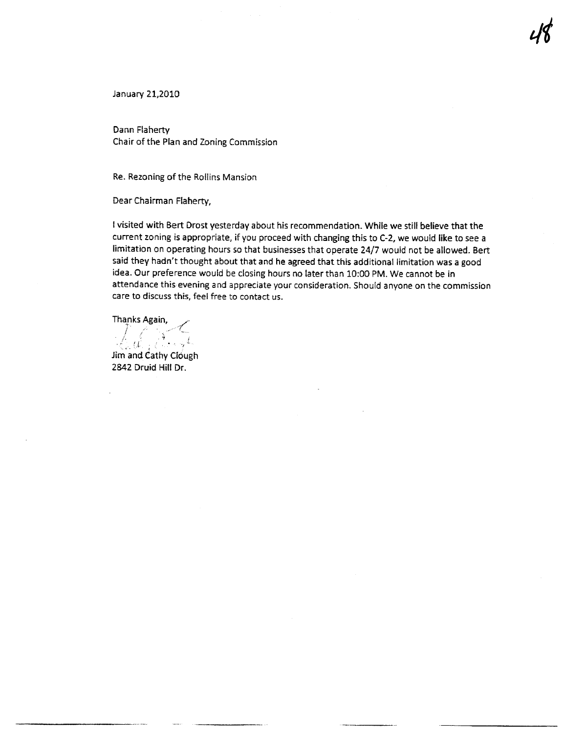January 21,2010

Dann Flaherty Chair of the Plan and Zoning Commission

Re. Rezoning of the Rollins Mansion

Dear Chairman Flaherty,

I visited with Bert Drost yesterday about his recommendation. While we still believe that the current zoning is appropriate, if you proceed with changing this to C-2, we would like to see a limitation on operating hours so that businesses that operate 24/7 would not be allowed. Bert said they hadn't thought about that and he agreed that this additional limitation was a good idea. Our preference would be closing hours no later than 10:00 PM. We cannot be in attendance this evening and appreciate your consideration. Should anyone on the commission care to discuss this, feel free to contact us.

Thanks Again, Lilly Carryl

Jim and Cathy Clough 2842 Druid Hill Dr.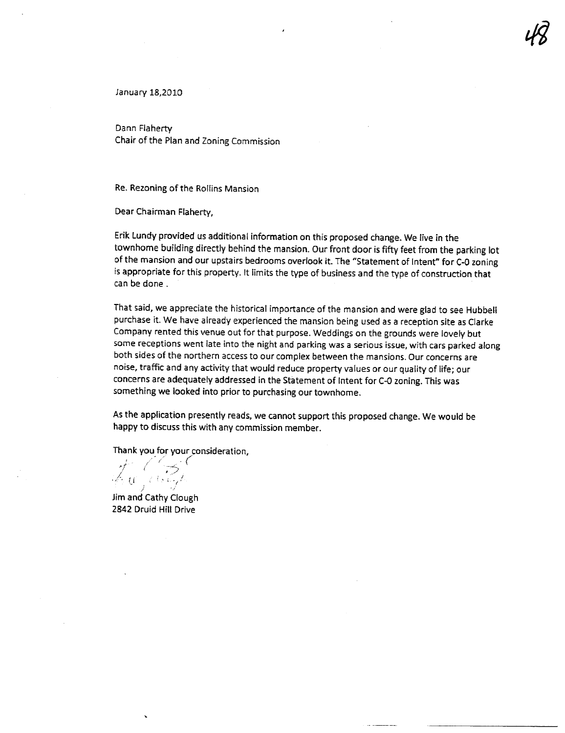January 18,2010

Dann Flahert Chair of the Plan and Zoning Commission

Re. Rezoning of the Rollins Mansion

Dear Chairman Flaherty,

Erik Lundy provided us additional information on this proposed change. We live in the townhome building directly behind the mansion. Our front door is fifty feet from the parking lot of the mansion and our upstairs bedrooms overlook it. The "Statement of Intent" for C-O zoning is appropriate for this property, It limits the type of business and the type of construction that can be done.

That said, we appreciate the historical importance of the mansion and were glad to see Hubbell purchase it. We have already experienced the mansion being used as a reception site as Clarke Company rented this venue out for that purpose. Weddings on the grounds were lovely but some receptions went late into the night and parking was a serious issue, with cars parked along both sides of the northern access to our complex between the mansions. Our concerns are noise, traffic and any activity that would reduce property values or our quality of life; our concerns are adequately addressed in the Statement of Intent for C-O zoning. This was something we looked into prior to purchasing our townhome.

As the application presently reads, we cannot support this proposed change. We would be happy to discuss this with any commission member.

Thank you for your consideration,<br> $\frac{1}{\sqrt{2}}$  ( $\frac{1}{\sqrt{2}}$  ,  $\frac{1}{\sqrt{2}}$ i - i-r "(.. ~l- ~~:j . /'

Jim and Cathy Clough 2842 Druid Hil Drive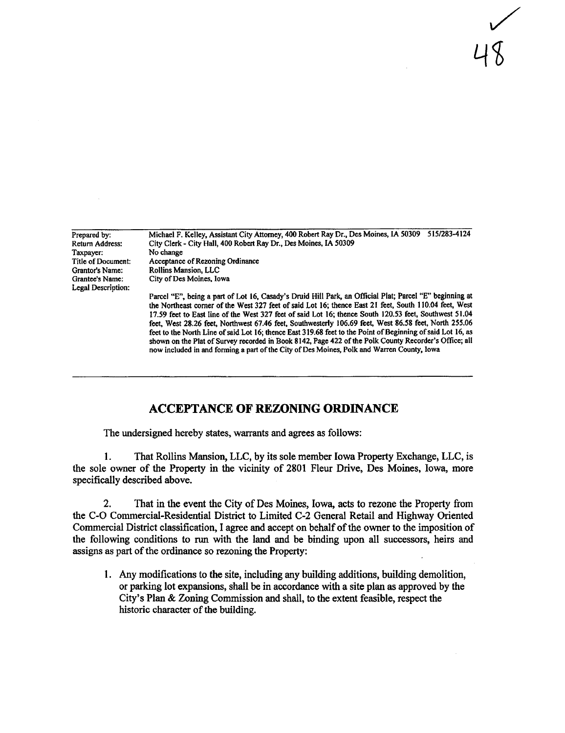Michael F. Kelley, Assistat City Attorney, 400 Robert Ray Dr., Des Moines, IA 50309 5151283-4124 City Clerk - City Hall, 400 Robert Ray Dr., Des Moines, IA 50309 No change Acceptance of Rezoning Ordinance Rollins Mansion, LLC City of Des Moines. Iowa Prepared by: Return Address: Taxpayer: Title of Document: Grantor's Name: Grantee's Name: Legal Description: Parcel "E", being a part of Lot 16, Casady's Druid Hill Park, an Official Plat; Parcel "E" beginning at the Northeast corner of the West 327 feet of said Lot 16; thence East 21 feet, South 110.04 feet, West 17.59 feet to East line of the West 327 feet of said Lot 16; thence South 120.53 feet, Southwest 51.04 feet, West 28.26 feet, Northwest 67.46 feet, Southwesterly 106.69 feet, West 86.58 feet, North 255.06 feet to the North Line of said Lot 16; thence East 319.68 feet to the Point of Beginning of said Lot 16, as

shown on the Plat of Survey recorded in Book 8142, Page 422 of the Polk County Recorder's Office; all

now included in and forming a part of the City of Des Moines, Polk and Warren County, Iowa

 $\bigvee$ 

48

# ACCEPTANCE OF REZONING ORDINANCE

The undersigned hereby states, warants and agres as follows:

1. That Rollns Mansion, LLC, by its sole member Iowa Property Exchange, LLC, is the sole owner of the Property in the vicinty of 2801 Fleur Drive, Des Moines, Iowa, more specificaly described above.

2. That in the event the City of Des Moines, Iowa, acts to rezone the Property from the C-O Commercial-Residential District to Limited C-2 General Retail and Highway Orented Commercial District classification, I agree and accept on behaf of the owner to the imposition of the following conditions to run with the land and be binding upon all successors, heirs and assigns as part of the ordinance so rezoning the Property:

1. Any modifications to the site, including any building additions, building demolition, or parking lot expansions, shall be in accordance with a site plan as approved by the City's Plan & Zoning Commission and shall, to the extent feasible, respect the historic character of the building.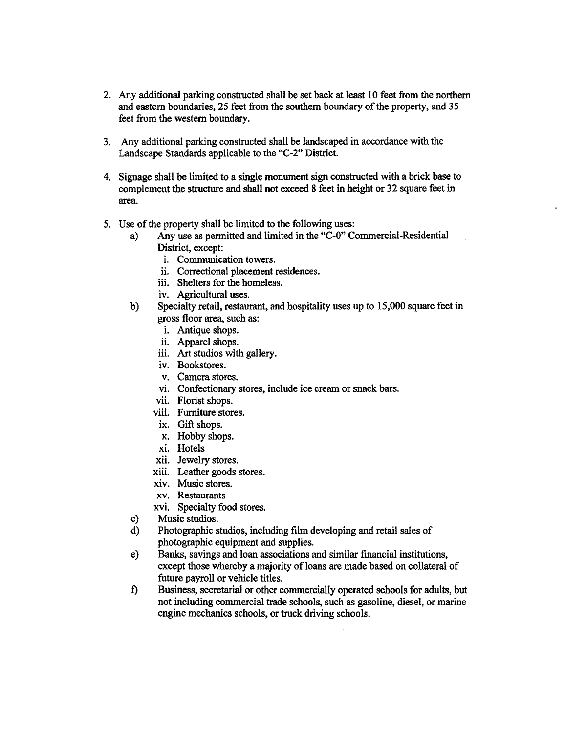- 2. Any additional parking constructed shall be set back at least 10 feet from the northern and eastern boundaries, 25 feet from the southern boundary of the property, and 35 feet from the western boundary.
- 3. Any additional parking constructed shall be landscaped in accordance with the Landscape Standards applicable to the "C-2" District.
- 4. Signage shall be limited to a singe monument sign constructed with a brick base to complement the structure and shall not exceed 8 feet in height or 32 square feet in area.
- 5. Use of the property shall be limited to the following uses:
	- a) Any use as permitted and limited in the "C-0" Commercial-Residential District, except:
		- i. Communication towers.
		- ii. Correctional placement residences.
		- iii. Shelters for the homeless.
		- iv. Agricultural uses.
	- b) Specialty retail, restaurant, and hospitality uses up to 15,000 square feet in gross floor area, such as:
		- i. Antique shops.
		- ii. Apparel shops.
		- iii. Art studios with gallery.
		- iv. Bookstores.
		- v. Camera stores.
		- vi. Confectionary stores, include ice cream or snack bars.
		- vii. Florist shops.
		- viii. Furniture stores.
		- ix. Gift shops.
		- x. Hobby shops.
		- xi. Hotels
		- xii. Jewelry stores.
		- xiii. Leather goods stores.
		- xiv. Music stores.
		- xv. Restaurants
		- xvi. Specialty food stores.
	- c) Music studios.
	- d) Photographic studios, including fim developing and retail sales of photographic equipment and supplies.
	- e) Banks, savings and loan associations and similar financial institutions, except those whereby a majority of loans are made based on collateral of future payroll or vehicle titles.
	- f) Business, secretarial or other commercially operated schools for adults, but not including commercial trade schools, such as gasoline, diesel, or marine engine mechanics schools, or truck driving schools.